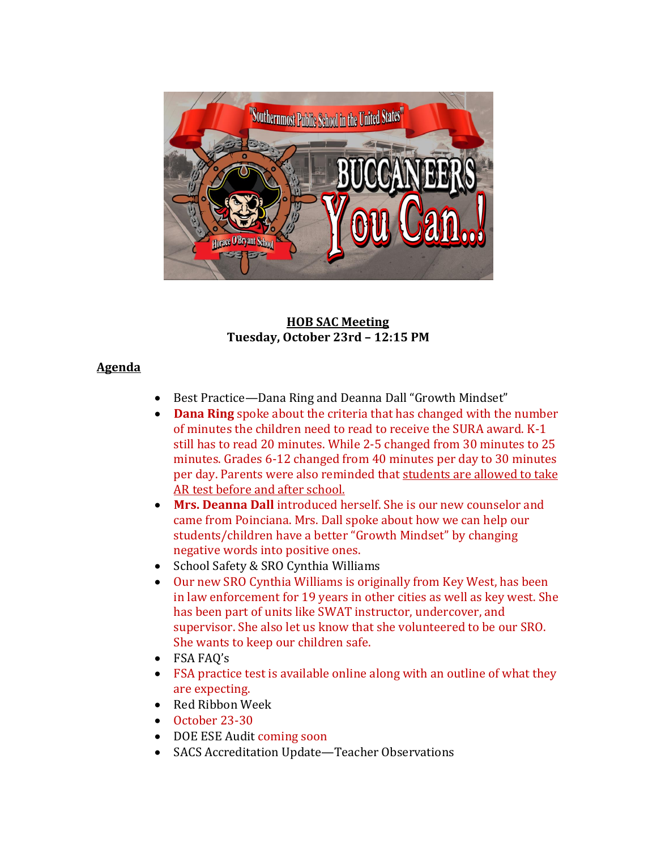

#### **HOB SAC Meeting Tuesday, October 23rd – 12:15 PM**

### **Agenda**

- Best Practice—Dana Ring and Deanna Dall "Growth Mindset"
- **Dana Ring** spoke about the criteria that has changed with the number of minutes the children need to read to receive the SURA award. K-1 still has to read 20 minutes. While 2-5 changed from 30 minutes to 25 minutes. Grades 6-12 changed from 40 minutes per day to 30 minutes per day. Parents were also reminded that students are allowed to take AR test before and after school.
- **Mrs. Deanna Dall** introduced herself. She is our new counselor and came from Poinciana. Mrs. Dall spoke about how we can help our students/children have a better "Growth Mindset" by changing negative words into positive ones.
- School Safety & SRO Cynthia Williams
- Our new SRO Cynthia Williams is originally from Key West, has been in law enforcement for 19 years in other cities as well as key west. She has been part of units like SWAT instructor, undercover, and supervisor. She also let us know that she volunteered to be our SRO. She wants to keep our children safe.
- FSA FAQ's
- FSA practice test is available online along with an outline of what they are expecting.
- Red Ribbon Week
- October 23-30
- DOE ESE Audit coming soon
- SACS Accreditation Update—Teacher Observations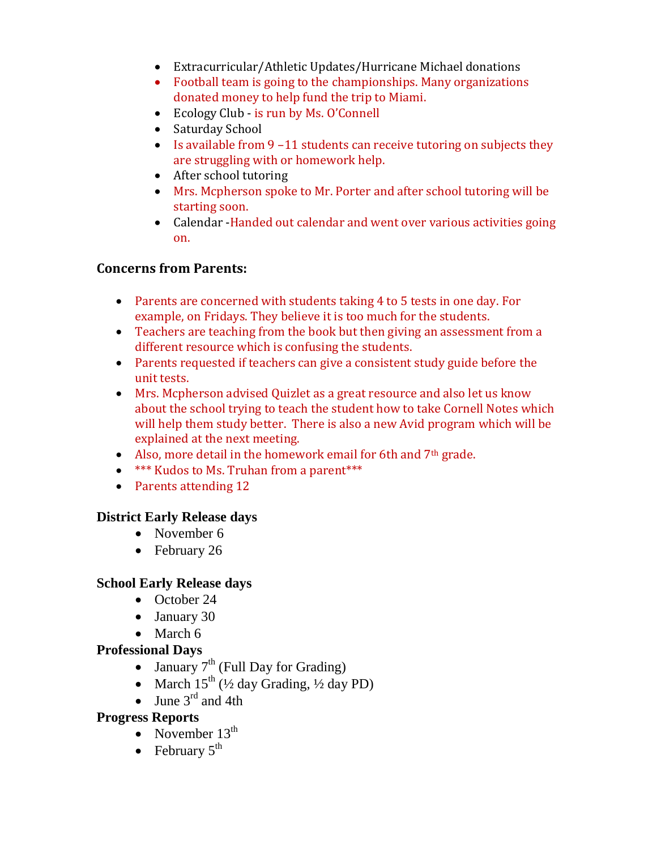- Extracurricular/Athletic Updates/Hurricane Michael donations
- Football team is going to the championships. Many organizations donated money to help fund the trip to Miami.
- Ecology Club is run by Ms. O'Connell
- Saturday School
- $\bullet$  Is available from 9-11 students can receive tutoring on subjects they are struggling with or homework help.
- After school tutoring
- Mrs. Mcpherson spoke to Mr. Porter and after school tutoring will be starting soon.
- Calendar Handed out calendar and went over various activities going on.

## **Concerns from Parents:**

- Parents are concerned with students taking 4 to 5 tests in one day. For example, on Fridays. They believe it is too much for the students.
- Teachers are teaching from the book but then giving an assessment from a different resource which is confusing the students.
- Parents requested if teachers can give a consistent study guide before the unit tests.
- Mrs. Mcpherson advised Quizlet as a great resource and also let us know about the school trying to teach the student how to take Cornell Notes which will help them study better. There is also a new Avid program which will be explained at the next meeting.
- Also, more detail in the homework email for 6th and  $7<sup>th</sup>$  grade.
- **\*\*\*** Kudos to Ms. Truhan from a parent\*\*\*
- Parents attending 12

## **District Early Release days**

- November 6
- February 26

#### **School Early Release days**

- October 24
- January 30
- $\bullet$  March 6

## **Professional Days**

- January  $7<sup>th</sup>$  (Full Day for Grading)
- March  $15^{th}$  ( $\frac{1}{2}$  day Grading,  $\frac{1}{2}$  day PD)
- June  $3^{\text{rd}}$  and 4th

## **Progress Reports**

- November  $13<sup>th</sup>$
- February  $5^{\text{th}}$